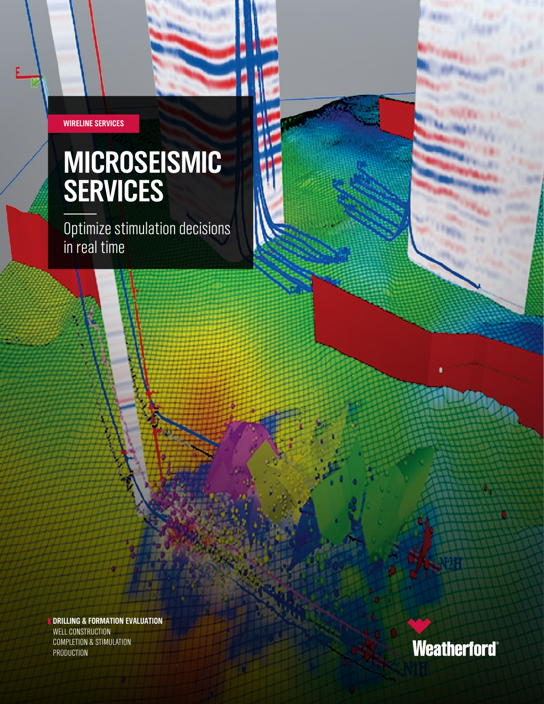**WIRELINE SERVICES**

# **MICROSEISMIC SERVICES**

Optimize stimulation decisions in real time

**DRILLING & FORMATION EVALUATION** WELL CONSTRUCTION COMPLETION & STIMULATION PRODUCTION

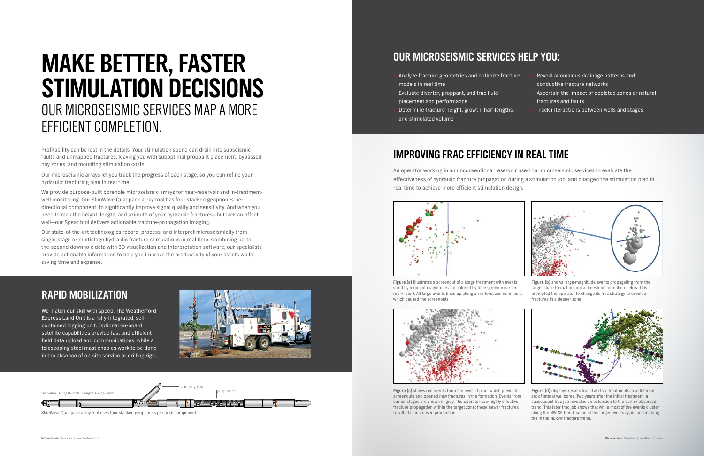Profitability can be lost in the details. Your stimulation spend can drain into subseismic faults and unmapped fractures, leaving you with suboptimal proppant placement, bypassed pay zones, and mounting stimulation costs.

Our microseismic arrays let you track the progress of each stage, so you can refine your hydraulic fracturing plan in real time.

We provide purpose-built borehole microseismic arrays for near-reservoir and in-treatmentwell monitoring. Our SlimWave Quadpack array tool has four stacked geophones per directional component, to significantly improve signal quality and sensitivity. And when you need to map the height, length, and azimuth of your hydraulic fractures—but lack an offset well—our Spear tool delivers actionable fracture-propagation imaging.

Our state-of-the-art technologies record, process, and interpret microseismicity from single-stage or multistage hydraulic fracture stimulations in real time. Combining up-tothe-second downhole data with 3D visualization and interpretation software, our specialists provide actionable information to help you improve the productivity of your assets while saving time and expense.

# **MAKE BETTER, FASTER STIMULATION DECISIONS** OUR MICROSEISMIC SERVICES MAP A MORE EFFICIENT COMPLETION.



**Figure (a)** illustrates a screenout of a stage treatment with events sized by moment magnitude and colored by time (green = earlier, red = later). All large events lined up along an unforeseen mini-fault, which caused the screenouts.



**Figure (b)** shows large-magnitude events propagating from the target shale formation into a limestone formation below. This prompted the operator to change its frac strategy to develop fractures in a deeper zone.





**Figure (c)** shows red events from the revised plan, which prevented screenouts and opened new fractures in the formation. Events from earlier stages are shown in gray. The operator saw highly effective fracture propagation within the target zone; these newer fractures resulted in increased production.

### **IMPROVING FRAC EFFICIENCY IN REAL TIME**

An operator working in an unconventional reservoir used our microseismic services to evaluate the effectiveness of hydraulic fracture propagation during a stimulation job, and changed the stimulation plan in real time to achieve more efficient stimulation design.

## **RAPID MOBILIZATION**

We match our skill with speed. The Weatherford Express Land Unit is a fully-integrated, selfcontained logging unit. Optional on-board satellite capabilities provide fast and efficient field data upload and communications, while a telescoping steel mast enables work to be done in the absence of on-site service or drilling rigs.



SlimWave Quadpack array tool uses four stacked geophones per axial component.



## **OUR MICROSEISMIC SERVICES HELP YOU:**

- Analyze fracture geometries and optimize fracture models in real time • Reveal anomalous drainage patterns and conductive fracture networks
- Evaluate diverter, proppant, and frac fluid placement and performance
- Determine fracture height, growth, half-lengths, and stimulated volume
- Ascertain the impact of depleted zones or natural fractures and faults
- Track interactions between wells and stages



**Figure (d)** displays results from two frac treatments in a different set of lateral wellbores. Two years after the initial treatment, a subsequent frac job revealed an extension to the earlier observed trend. This later frac job shows that while most of the events cluster along the NW-SE trend, some of the larger events again occur along the initial NE-SW fracture trend.